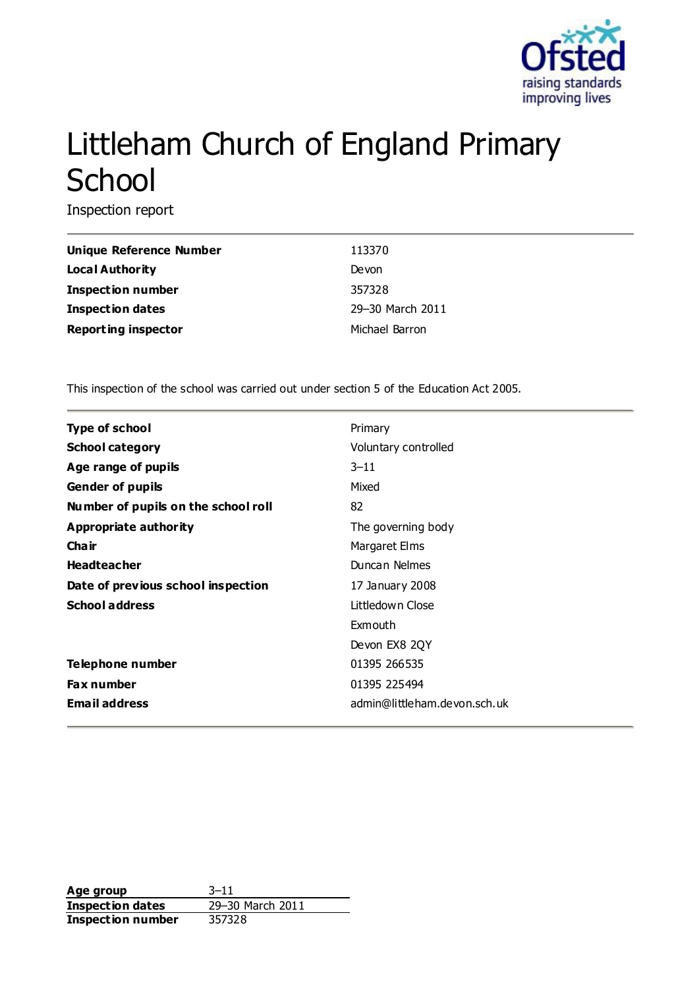

# Littleham Church of England Primary **School**

Inspection report

| Unique Reference Number    | 113370           |
|----------------------------|------------------|
| Local Authority            | Devon            |
| <b>Inspection number</b>   | 357328           |
| <b>Inspection dates</b>    | 29-30 March 2011 |
| <b>Reporting inspector</b> | Michael Barron   |

This inspection of the school was carried out under section 5 of the Education Act 2005.

| <b>Type of school</b>               | Primary                      |
|-------------------------------------|------------------------------|
| <b>School category</b>              | Voluntary controlled         |
| Age range of pupils                 | $3 - 11$                     |
| <b>Gender of pupils</b>             | Mixed                        |
| Number of pupils on the school roll | 82                           |
| <b>Appropriate authority</b>        | The governing body           |
| Cha ir                              | Margaret Elms                |
| <b>Headteacher</b>                  | Duncan Nelmes                |
| Date of previous school inspection  | 17 January 2008              |
| <b>School address</b>               | Littledown Close             |
|                                     | Exmouth                      |
|                                     | Devon EX8 2QY                |
| Telephone number                    | 01395 266535                 |
| <b>Fax number</b>                   | 01395 225494                 |
| <b>Email address</b>                | admin@littleham.devon.sch.uk |

**Age group** 3–11 **Inspection dates** 29–30 March 2011 **Inspection number** 357328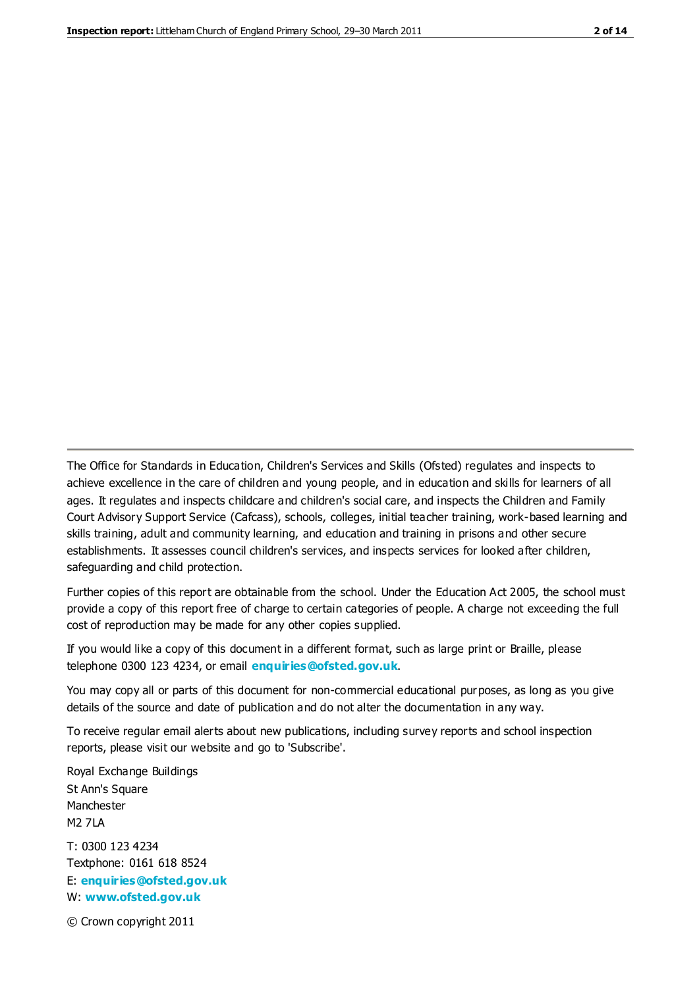The Office for Standards in Education, Children's Services and Skills (Ofsted) regulates and inspects to achieve excellence in the care of children and young people, and in education and skills for learners of all ages. It regulates and inspects childcare and children's social care, and inspects the Children and Family Court Advisory Support Service (Cafcass), schools, colleges, initial teacher training, work-based learning and skills training, adult and community learning, and education and training in prisons and other secure establishments. It assesses council children's services, and inspects services for looked after children, safeguarding and child protection.

Further copies of this report are obtainable from the school. Under the Education Act 2005, the school must provide a copy of this report free of charge to certain categories of people. A charge not exceeding the full cost of reproduction may be made for any other copies supplied.

If you would like a copy of this document in a different format, such as large print or Braille, please telephone 0300 123 4234, or email **[enquiries@ofsted.gov.uk](mailto:enquiries@ofsted.gov.uk)**.

You may copy all or parts of this document for non-commercial educational purposes, as long as you give details of the source and date of publication and do not alter the documentation in any way.

To receive regular email alerts about new publications, including survey reports and school inspection reports, please visit our website and go to 'Subscribe'.

Royal Exchange Buildings St Ann's Square Manchester M2 7LA T: 0300 123 4234 Textphone: 0161 618 8524 E: **[enquiries@ofsted.gov.uk](mailto:enquiries@ofsted.gov.uk)**

W: **[www.ofsted.gov.uk](http://www.ofsted.gov.uk/)**

© Crown copyright 2011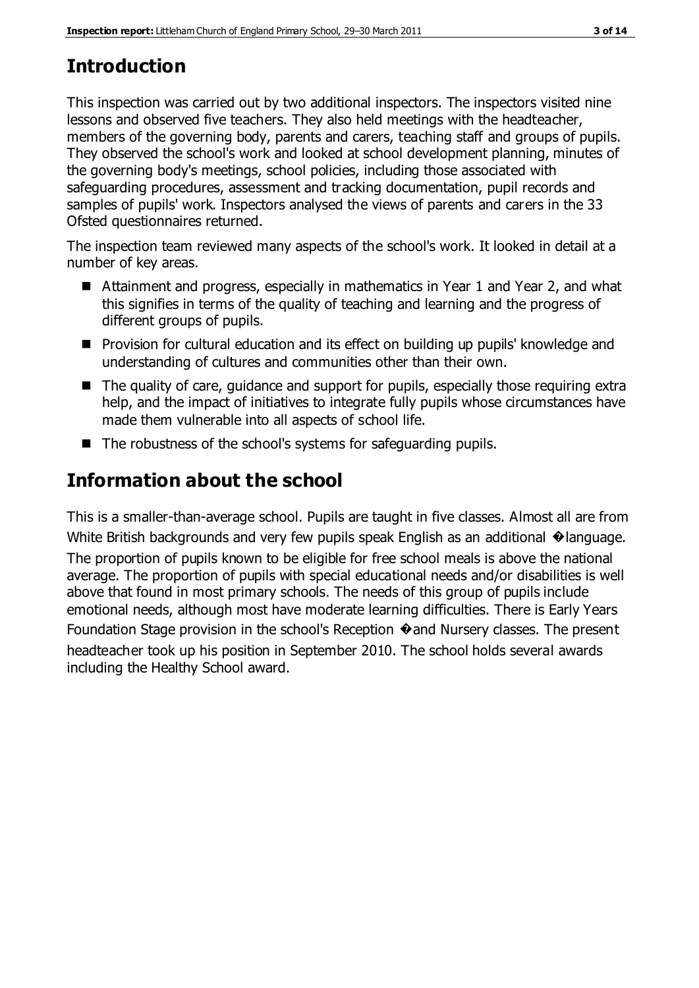# **Introduction**

This inspection was carried out by two additional inspectors. The inspectors visited nine lessons and observed five teachers. They also held meetings with the headteacher, members of the governing body, parents and carers, teaching staff and groups of pupils. They observed the school's work and looked at school development planning, minutes of the governing body's meetings, school policies, including those associated with safeguarding procedures, assessment and tracking documentation, pupil records and samples of pupils' work. Inspectors analysed the views of parents and carers in the 33 Ofsted questionnaires returned.

The inspection team reviewed many aspects of the school's work. It looked in detail at a number of key areas.

- Attainment and progress, especially in mathematics in Year 1 and Year 2, and what this signifies in terms of the quality of teaching and learning and the progress of different groups of pupils.
- Provision for cultural education and its effect on building up pupils' knowledge and understanding of cultures and communities other than their own.
- The quality of care, quidance and support for pupils, especially those requiring extra help, and the impact of initiatives to integrate fully pupils whose circumstances have made them vulnerable into all aspects of school life.
- The robustness of the school's systems for safeguarding pupils.

# **Information about the school**

This is a smaller-than-average school. Pupils are taught in five classes. Almost all are from White British backgrounds and very few pupils speak English as an additional  $\bullet$  language. The proportion of pupils known to be eligible for free school meals is above the national average. The proportion of pupils with special educational needs and/or disabilities is well above that found in most primary schools. The needs of this group of pupils include emotional needs, although most have moderate learning difficulties. There is Early Years Foundation Stage provision in the school's Reception  $\odot$  and Nursery classes. The present headteacher took up his position in September 2010. The school holds several awards including the Healthy School award.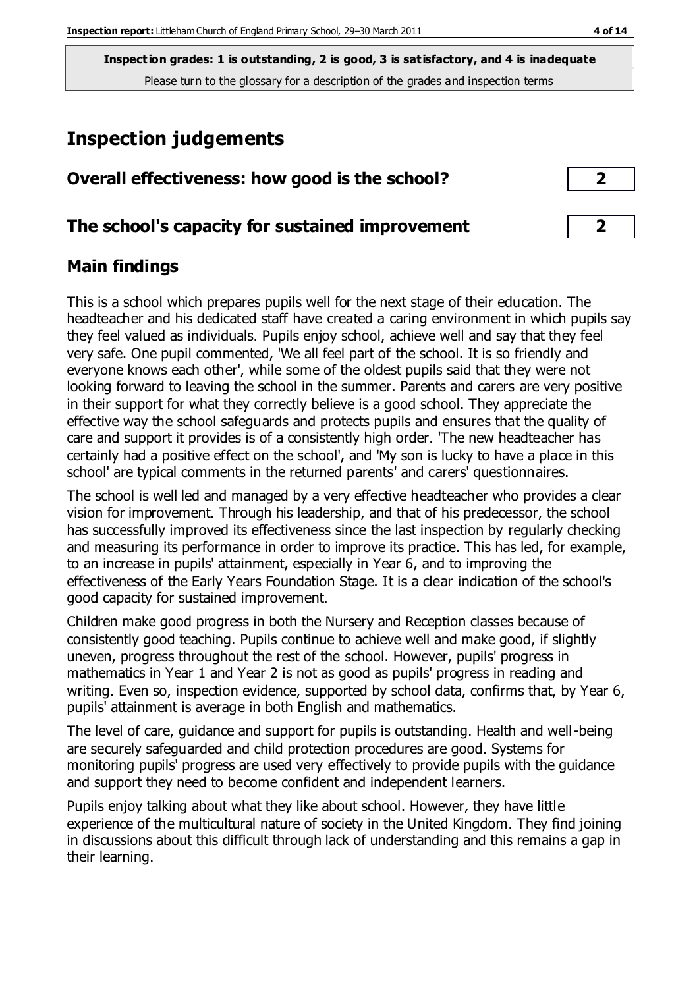# **Inspection judgements**

| Overall effectiveness: how good is the school?  |  |
|-------------------------------------------------|--|
| The school's capacity for sustained improvement |  |

### **Main findings**

This is a school which prepares pupils well for the next stage of their education. The headteacher and his dedicated staff have created a caring environment in which pupils say they feel valued as individuals. Pupils enjoy school, achieve well and say that they feel very safe. One pupil commented, 'We all feel part of the school. It is so friendly and everyone knows each other', while some of the oldest pupils said that they were not looking forward to leaving the school in the summer. Parents and carers are very positive in their support for what they correctly believe is a good school. They appreciate the effective way the school safeguards and protects pupils and ensures that the quality of care and support it provides is of a consistently high order. 'The new headteacher has certainly had a positive effect on the school', and 'My son is lucky to have a place in this school' are typical comments in the returned parents' and carers' questionnaires.

The school is well led and managed by a very effective headteacher who provides a clear vision for improvement. Through his leadership, and that of his predecessor, the school has successfully improved its effectiveness since the last inspection by regularly checking and measuring its performance in order to improve its practice. This has led, for example, to an increase in pupils' attainment, especially in Year 6, and to improving the effectiveness of the Early Years Foundation Stage. It is a clear indication of the school's good capacity for sustained improvement.

Children make good progress in both the Nursery and Reception classes because of consistently good teaching. Pupils continue to achieve well and make good, if slightly uneven, progress throughout the rest of the school. However, pupils' progress in mathematics in Year 1 and Year 2 is not as good as pupils' progress in reading and writing. Even so, inspection evidence, supported by school data, confirms that, by Year 6, pupils' attainment is average in both English and mathematics.

The level of care, guidance and support for pupils is outstanding. Health and well-being are securely safeguarded and child protection procedures are good. Systems for monitoring pupils' progress are used very effectively to provide pupils with the guidance and support they need to become confident and independent learners.

Pupils enjoy talking about what they like about school. However, they have little experience of the multicultural nature of society in the United Kingdom. They find joining in discussions about this difficult through lack of understanding and this remains a gap in their learning.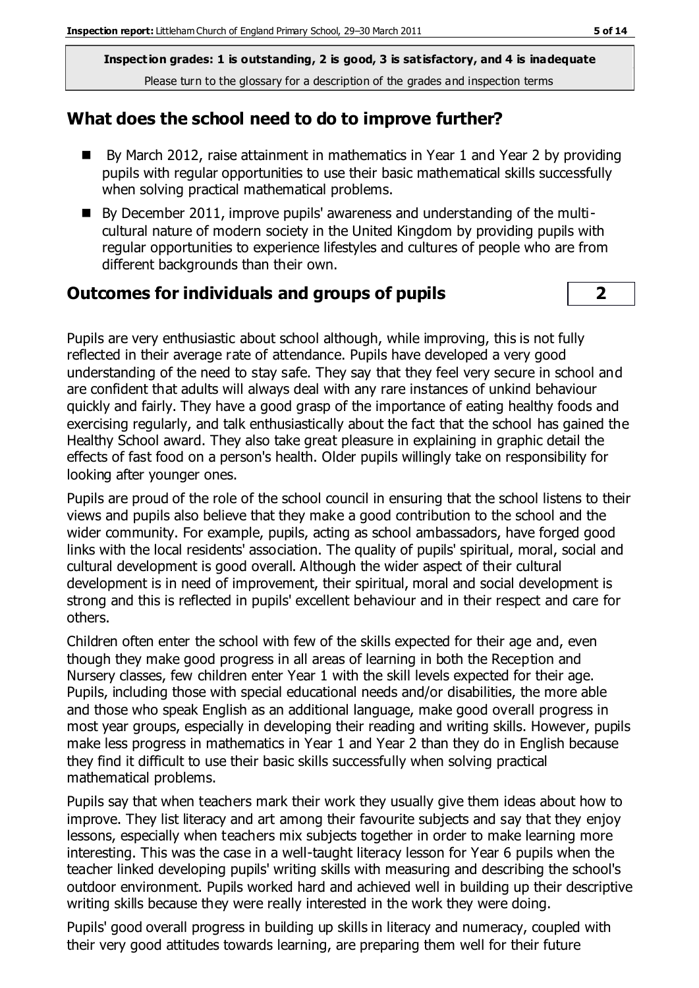#### **What does the school need to do to improve further?**

- By March 2012, raise attainment in mathematics in Year 1 and Year 2 by providing pupils with regular opportunities to use their basic mathematical skills successfully when solving practical mathematical problems.
- By December 2011, improve pupils' awareness and understanding of the multicultural nature of modern society in the United Kingdom by providing pupils with regular opportunities to experience lifestyles and cultures of people who are from different backgrounds than their own.

#### **Outcomes for individuals and groups of pupils 2**

Pupils are very enthusiastic about school although, while improving, this is not fully reflected in their average rate of attendance. Pupils have developed a very good understanding of the need to stay safe. They say that they feel very secure in school and are confident that adults will always deal with any rare instances of unkind behaviour quickly and fairly. They have a good grasp of the importance of eating healthy foods and exercising regularly, and talk enthusiastically about the fact that the school has gained the Healthy School award. They also take great pleasure in explaining in graphic detail the effects of fast food on a person's health. Older pupils willingly take on responsibility for looking after younger ones.

Pupils are proud of the role of the school council in ensuring that the school listens to their views and pupils also believe that they make a good contribution to the school and the wider community. For example, pupils, acting as school ambassadors, have forged good links with the local residents' association. The quality of pupils' spiritual, moral, social and cultural development is good overall. Although the wider aspect of their cultural development is in need of improvement, their spiritual, moral and social development is strong and this is reflected in pupils' excellent behaviour and in their respect and care for others.

Children often enter the school with few of the skills expected for their age and, even though they make good progress in all areas of learning in both the Reception and Nursery classes, few children enter Year 1 with the skill levels expected for their age. Pupils, including those with special educational needs and/or disabilities, the more able and those who speak English as an additional language, make good overall progress in most year groups, especially in developing their reading and writing skills. However, pupils make less progress in mathematics in Year 1 and Year 2 than they do in English because they find it difficult to use their basic skills successfully when solving practical mathematical problems.

Pupils say that when teachers mark their work they usually give them ideas about how to improve. They list literacy and art among their favourite subjects and say that they enjoy lessons, especially when teachers mix subjects together in order to make learning more interesting. This was the case in a well-taught literacy lesson for Year 6 pupils when the teacher linked developing pupils' writing skills with measuring and describing the school's outdoor environment. Pupils worked hard and achieved well in building up their descriptive writing skills because they were really interested in the work they were doing.

Pupils' good overall progress in building up skills in literacy and numeracy, coupled with their very good attitudes towards learning, are preparing them well for their future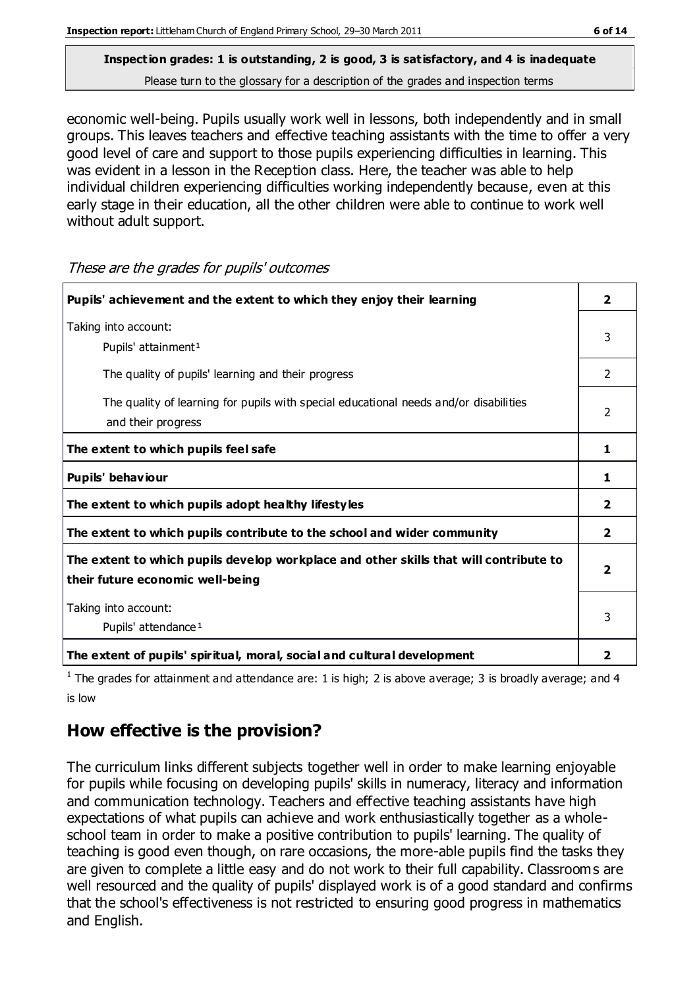economic well-being. Pupils usually work well in lessons, both independently and in small groups. This leaves teachers and effective teaching assistants with the time to offer a very good level of care and support to those pupils experiencing difficulties in learning. This was evident in a lesson in the Reception class. Here, the teacher was able to help individual children experiencing difficulties working independently because, even at this early stage in their education, all the other children were able to continue to work well without adult support.

These are the grades for pupils' outcomes

| Pupils' achievement and the extent to which they enjoy their learning                                                     | $\overline{\mathbf{2}}$ |
|---------------------------------------------------------------------------------------------------------------------------|-------------------------|
| Taking into account:<br>Pupils' attainment <sup>1</sup>                                                                   | 3                       |
| The quality of pupils' learning and their progress                                                                        | 2                       |
| The quality of learning for pupils with special educational needs and/or disabilities<br>and their progress               |                         |
| The extent to which pupils feel safe                                                                                      | 1                       |
| Pupils' behaviour                                                                                                         |                         |
| The extent to which pupils adopt healthy lifestyles                                                                       |                         |
| The extent to which pupils contribute to the school and wider community                                                   |                         |
| The extent to which pupils develop workplace and other skills that will contribute to<br>their future economic well-being | $\overline{\mathbf{2}}$ |
| Taking into account:<br>Pupils' attendance <sup>1</sup>                                                                   |                         |
| The extent of pupils' spiritual, moral, social and cultural development                                                   | 2                       |

<sup>1</sup> The grades for attainment and attendance are: 1 is high; 2 is above average; 3 is broadly average; and 4 is low

## **How effective is the provision?**

The curriculum links different subjects together well in order to make learning enjoyable for pupils while focusing on developing pupils' skills in numeracy, literacy and information and communication technology. Teachers and effective teaching assistants have high expectations of what pupils can achieve and work enthusiastically together as a wholeschool team in order to make a positive contribution to pupils' learning. The quality of teaching is good even though, on rare occasions, the more-able pupils find the tasks they are given to complete a little easy and do not work to their full capability. Classrooms are well resourced and the quality of pupils' displayed work is of a good standard and confirms that the school's effectiveness is not restricted to ensuring good progress in mathematics and English.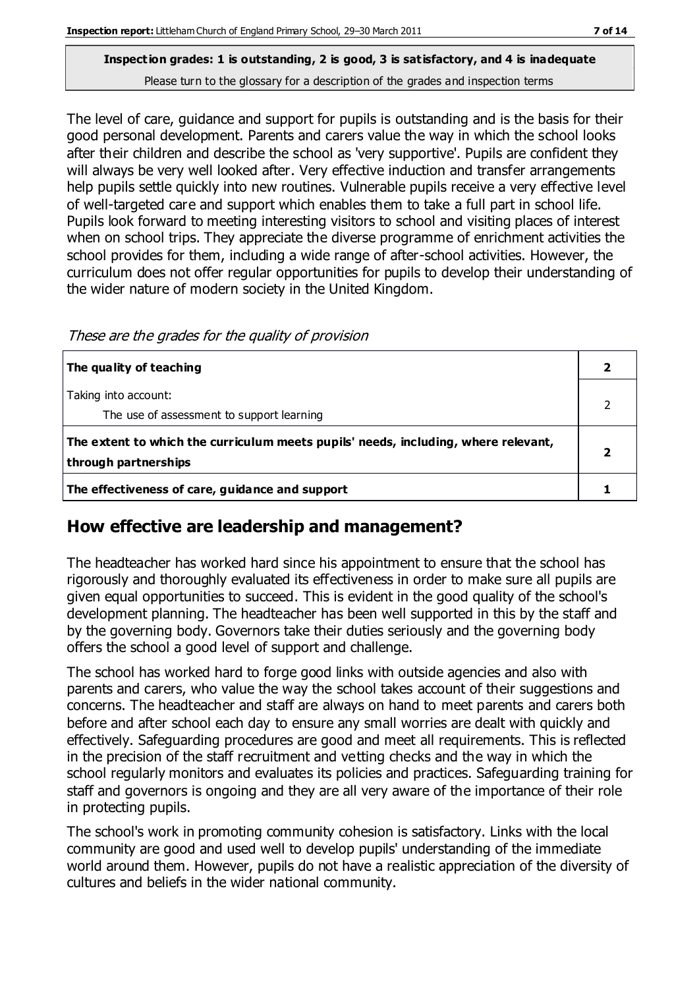The level of care, guidance and support for pupils is outstanding and is the basis for their good personal development. Parents and carers value the way in which the school looks after their children and describe the school as 'very supportive'. Pupils are confident they will always be very well looked after. Very effective induction and transfer arrangements help pupils settle quickly into new routines. Vulnerable pupils receive a very effective level of well-targeted care and support which enables them to take a full part in school life. Pupils look forward to meeting interesting visitors to school and visiting places of interest when on school trips. They appreciate the diverse programme of enrichment activities the school provides for them, including a wide range of after-school activities. However, the curriculum does not offer regular opportunities for pupils to develop their understanding of the wider nature of modern society in the United Kingdom.

These are the grades for the quality of provision

| The quality of teaching                                                                                    |  |
|------------------------------------------------------------------------------------------------------------|--|
| Taking into account:<br>The use of assessment to support learning                                          |  |
| The extent to which the curriculum meets pupils' needs, including, where relevant,<br>through partnerships |  |
| The effectiveness of care, guidance and support                                                            |  |

## **How effective are leadership and management?**

The headteacher has worked hard since his appointment to ensure that the school has rigorously and thoroughly evaluated its effectiveness in order to make sure all pupils are given equal opportunities to succeed. This is evident in the good quality of the school's development planning. The headteacher has been well supported in this by the staff and by the governing body. Governors take their duties seriously and the governing body offers the school a good level of support and challenge.

The school has worked hard to forge good links with outside agencies and also with parents and carers, who value the way the school takes account of their suggestions and concerns. The headteacher and staff are always on hand to meet parents and carers both before and after school each day to ensure any small worries are dealt with quickly and effectively. Safeguarding procedures are good and meet all requirements. This is reflected in the precision of the staff recruitment and vetting checks and the way in which the school regularly monitors and evaluates its policies and practices. Safeguarding training for staff and governors is ongoing and they are all very aware of the importance of their role in protecting pupils.

The school's work in promoting community cohesion is satisfactory. Links with the local community are good and used well to develop pupils' understanding of the immediate world around them. However, pupils do not have a realistic appreciation of the diversity of cultures and beliefs in the wider national community.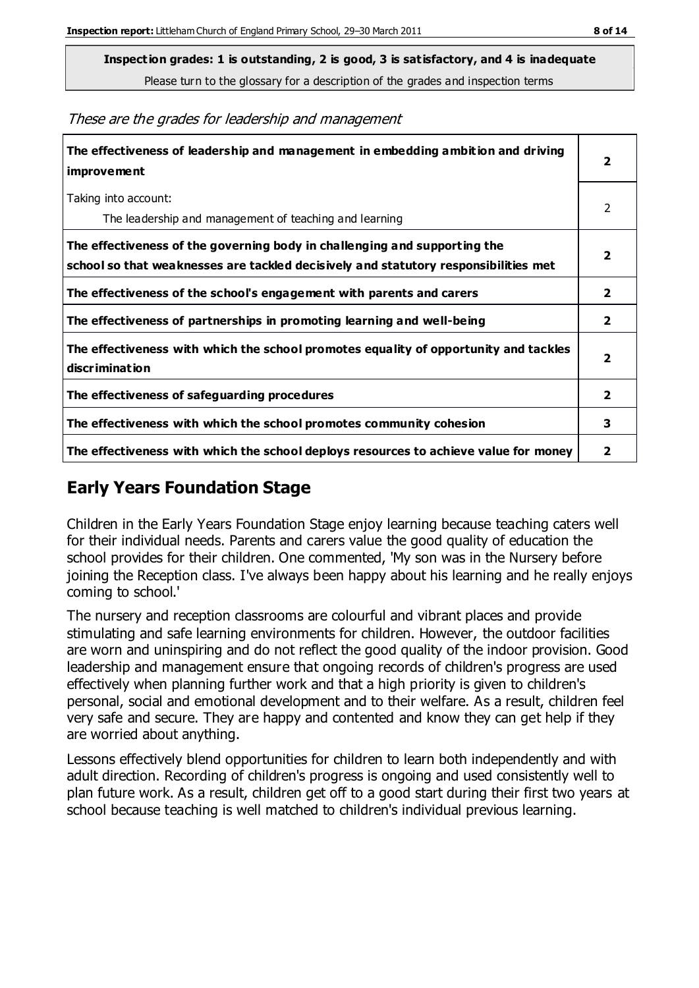**Inspection grades: 1 is outstanding, 2 is good, 3 is satisfactory, and 4 is inadequate**

Please turn to the glossary for a description of the grades and inspection terms

These are the grades for leadership and management

| The effectiveness of leadership and management in embedding ambition and driving<br><b>improvement</b>                                                           |                         |
|------------------------------------------------------------------------------------------------------------------------------------------------------------------|-------------------------|
| Taking into account:<br>The leadership and management of teaching and learning                                                                                   | 2                       |
| The effectiveness of the governing body in challenging and supporting the<br>school so that weaknesses are tackled decisively and statutory responsibilities met | $\overline{\mathbf{2}}$ |
| The effectiveness of the school's engagement with parents and carers                                                                                             | $\overline{2}$          |
| The effectiveness of partnerships in promoting learning and well-being                                                                                           | $\overline{2}$          |
| The effectiveness with which the school promotes equality of opportunity and tackles<br><b>discrimination</b>                                                    | $\overline{\mathbf{2}}$ |
| The effectiveness of safeguarding procedures                                                                                                                     | $\overline{2}$          |
| The effectiveness with which the school promotes community cohesion                                                                                              |                         |
| The effectiveness with which the school deploys resources to achieve value for money                                                                             |                         |

## **Early Years Foundation Stage**

Children in the Early Years Foundation Stage enjoy learning because teaching caters well for their individual needs. Parents and carers value the good quality of education the school provides for their children. One commented, 'My son was in the Nursery before joining the Reception class. I've always been happy about his learning and he really enjoys coming to school.'

The nursery and reception classrooms are colourful and vibrant places and provide stimulating and safe learning environments for children. However, the outdoor facilities are worn and uninspiring and do not reflect the good quality of the indoor provision. Good leadership and management ensure that ongoing records of children's progress are used effectively when planning further work and that a high priority is given to children's personal, social and emotional development and to their welfare. As a result, children feel very safe and secure. They are happy and contented and know they can get help if they are worried about anything.

Lessons effectively blend opportunities for children to learn both independently and with adult direction. Recording of children's progress is ongoing and used consistently well to plan future work. As a result, children get off to a good start during their first two years at school because teaching is well matched to children's individual previous learning.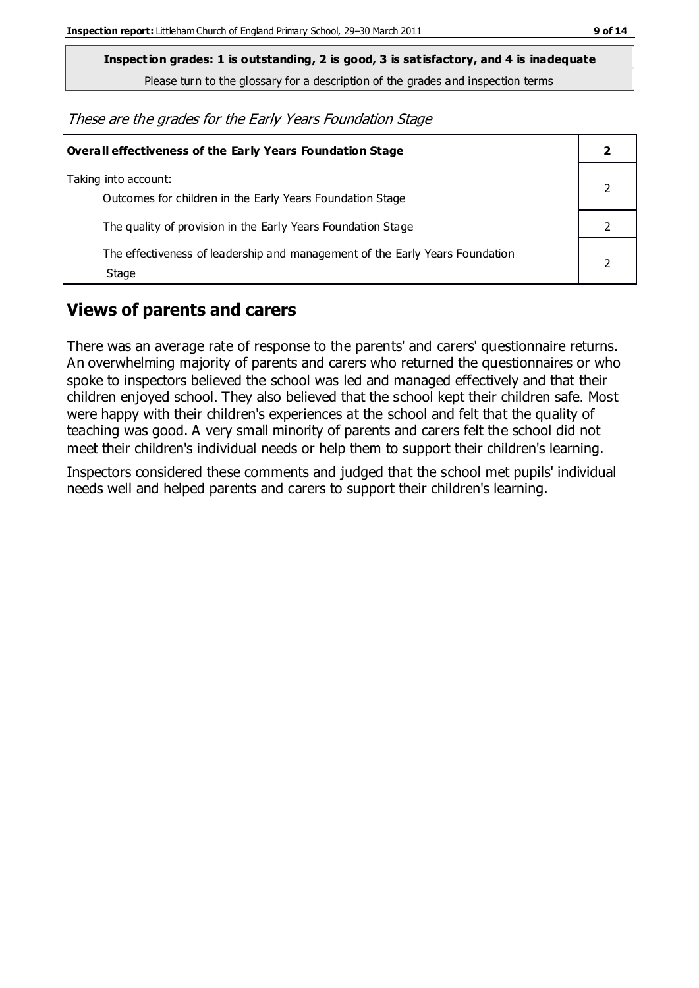**Inspection grades: 1 is outstanding, 2 is good, 3 is satisfactory, and 4 is inadequate**

Please turn to the glossary for a description of the grades and inspection terms

These are the grades for the Early Years Foundation Stage

| <b>Overall effectiveness of the Early Years Foundation Stage</b>                      |  |
|---------------------------------------------------------------------------------------|--|
| Taking into account:<br>Outcomes for children in the Early Years Foundation Stage     |  |
| The quality of provision in the Early Years Foundation Stage                          |  |
| The effectiveness of leadership and management of the Early Years Foundation<br>Stage |  |

### **Views of parents and carers**

There was an average rate of response to the parents' and carers' questionnaire returns. An overwhelming majority of parents and carers who returned the questionnaires or who spoke to inspectors believed the school was led and managed effectively and that their children enjoyed school. They also believed that the school kept their children safe. Most were happy with their children's experiences at the school and felt that the quality of teaching was good. A very small minority of parents and carers felt the school did not meet their children's individual needs or help them to support their children's learning.

Inspectors considered these comments and judged that the school met pupils' individual needs well and helped parents and carers to support their children's learning.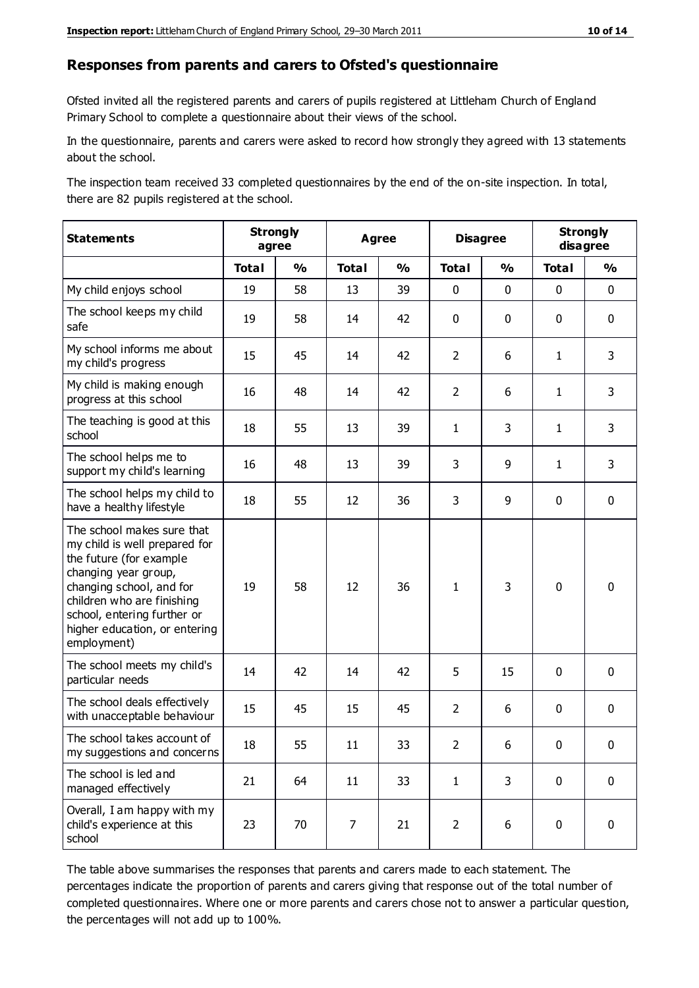#### **Responses from parents and carers to Ofsted's questionnaire**

Ofsted invited all the registered parents and carers of pupils registered at Littleham Church of England Primary School to complete a questionnaire about their views of the school.

In the questionnaire, parents and carers were asked to record how strongly they agreed with 13 statements about the school.

The inspection team received 33 completed questionnaires by the end of the on-site inspection. In total, there are 82 pupils registered at the school.

| <b>Statements</b>                                                                                                                                                                                                                                       | <b>Strongly</b><br>agree |               | <b>Agree</b> |               | <b>Disagree</b> |               | <b>Strongly</b><br>disagree |               |
|---------------------------------------------------------------------------------------------------------------------------------------------------------------------------------------------------------------------------------------------------------|--------------------------|---------------|--------------|---------------|-----------------|---------------|-----------------------------|---------------|
|                                                                                                                                                                                                                                                         | <b>Total</b>             | $\frac{1}{2}$ | <b>Total</b> | $\frac{1}{2}$ | <b>Total</b>    | $\frac{1}{2}$ | <b>Total</b>                | $\frac{1}{2}$ |
| My child enjoys school                                                                                                                                                                                                                                  | 19                       | 58            | 13           | 39            | 0               | $\mathbf 0$   | $\mathbf 0$                 | $\mathbf 0$   |
| The school keeps my child<br>safe                                                                                                                                                                                                                       | 19                       | 58            | 14           | 42            | 0               | $\mathbf 0$   | $\mathbf 0$                 | $\mathbf 0$   |
| My school informs me about<br>my child's progress                                                                                                                                                                                                       | 15                       | 45            | 14           | 42            | $\overline{2}$  | 6             | $\mathbf{1}$                | 3             |
| My child is making enough<br>progress at this school                                                                                                                                                                                                    | 16                       | 48            | 14           | 42            | $\overline{2}$  | 6             | $\mathbf{1}$                | 3             |
| The teaching is good at this<br>school                                                                                                                                                                                                                  | 18                       | 55            | 13           | 39            | 1               | 3             | $\mathbf{1}$                | 3             |
| The school helps me to<br>support my child's learning                                                                                                                                                                                                   | 16                       | 48            | 13           | 39            | 3               | 9             | 1                           | 3             |
| The school helps my child to<br>have a healthy lifestyle                                                                                                                                                                                                | 18                       | 55            | 12           | 36            | 3               | 9             | $\mathbf 0$                 | $\mathbf 0$   |
| The school makes sure that<br>my child is well prepared for<br>the future (for example<br>changing year group,<br>changing school, and for<br>children who are finishing<br>school, entering further or<br>higher education, or entering<br>employment) | 19                       | 58            | 12           | 36            | $\mathbf{1}$    | 3             | $\mathbf 0$                 | $\mathbf 0$   |
| The school meets my child's<br>particular needs                                                                                                                                                                                                         | 14                       | 42            | 14           | 42            | 5               | 15            | $\mathbf 0$                 | $\mathbf 0$   |
| The school deals effectively<br>with unacceptable behaviour                                                                                                                                                                                             | 15                       | 45            | 15           | 45            | $\overline{2}$  | 6             | 0                           | $\pmb{0}$     |
| The school takes account of<br>my suggestions and concerns                                                                                                                                                                                              | 18                       | 55            | 11           | 33            | $\overline{2}$  | 6             | $\Omega$                    | $\Omega$      |
| The school is led and<br>managed effectively                                                                                                                                                                                                            | 21                       | 64            | 11           | 33            | $\mathbf{1}$    | 3             | $\mathbf 0$                 | $\mathbf 0$   |
| Overall, I am happy with my<br>child's experience at this<br>school                                                                                                                                                                                     | 23                       | 70            | 7            | 21            | $\overline{2}$  | 6             | $\mathbf 0$                 | $\mathbf 0$   |

The table above summarises the responses that parents and carers made to each statement. The percentages indicate the proportion of parents and carers giving that response out of the total number of completed questionnaires. Where one or more parents and carers chose not to answer a particular question, the percentages will not add up to 100%.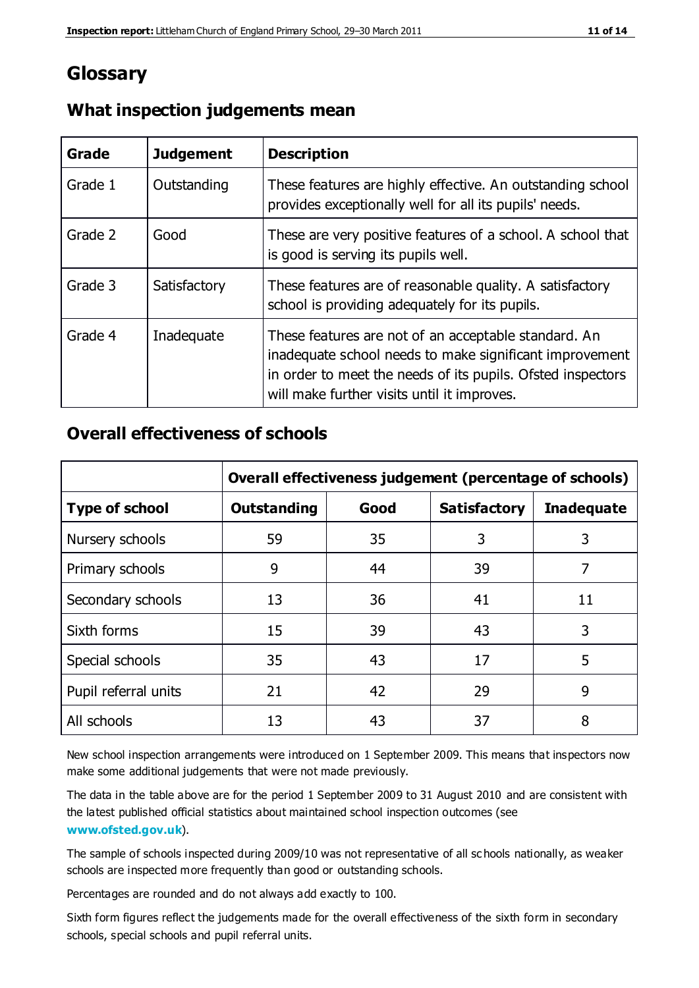## **Glossary**

| Grade   | <b>Judgement</b> | <b>Description</b>                                                                                                                                                                                                            |
|---------|------------------|-------------------------------------------------------------------------------------------------------------------------------------------------------------------------------------------------------------------------------|
| Grade 1 | Outstanding      | These features are highly effective. An outstanding school<br>provides exceptionally well for all its pupils' needs.                                                                                                          |
| Grade 2 | Good             | These are very positive features of a school. A school that<br>is good is serving its pupils well.                                                                                                                            |
| Grade 3 | Satisfactory     | These features are of reasonable quality. A satisfactory<br>school is providing adequately for its pupils.                                                                                                                    |
| Grade 4 | Inadequate       | These features are not of an acceptable standard. An<br>inadequate school needs to make significant improvement<br>in order to meet the needs of its pupils. Ofsted inspectors<br>will make further visits until it improves. |

#### **What inspection judgements mean**

### **Overall effectiveness of schools**

|                       | Overall effectiveness judgement (percentage of schools) |      |                     |                   |
|-----------------------|---------------------------------------------------------|------|---------------------|-------------------|
| <b>Type of school</b> | <b>Outstanding</b>                                      | Good | <b>Satisfactory</b> | <b>Inadequate</b> |
| Nursery schools       | 59                                                      | 35   | 3                   | 3                 |
| Primary schools       | 9                                                       | 44   | 39                  | 7                 |
| Secondary schools     | 13                                                      | 36   | 41                  | 11                |
| Sixth forms           | 15                                                      | 39   | 43                  | 3                 |
| Special schools       | 35                                                      | 43   | 17                  | 5                 |
| Pupil referral units  | 21                                                      | 42   | 29                  | 9                 |
| All schools           | 13                                                      | 43   | 37                  | 8                 |

New school inspection arrangements were introduced on 1 September 2009. This means that inspectors now make some additional judgements that were not made previously.

The data in the table above are for the period 1 September 2009 to 31 August 2010 and are consistent with the latest published official statistics about maintained school inspection outcomes (see **[www.ofsted.gov.uk](http://www.ofsted.gov.uk/)**).

The sample of schools inspected during 2009/10 was not representative of all sc hools nationally, as weaker schools are inspected more frequently than good or outstanding schools.

Percentages are rounded and do not always add exactly to 100.

Sixth form figures reflect the judgements made for the overall effectiveness of the sixth form in secondary schools, special schools and pupil referral units.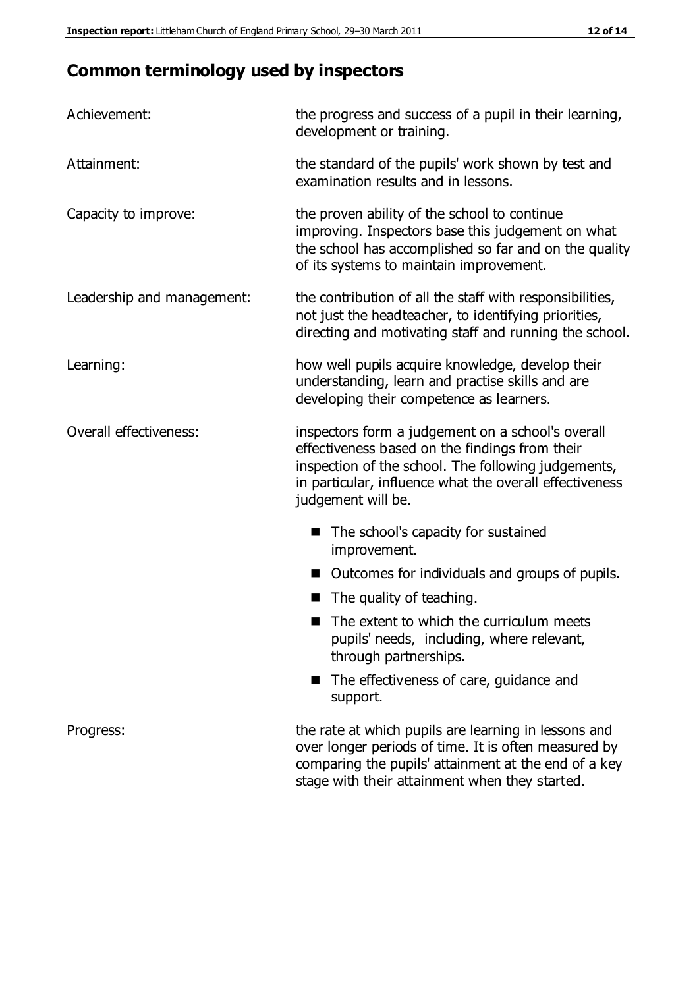# **Common terminology used by inspectors**

| Achievement:               | the progress and success of a pupil in their learning,<br>development or training.                                                                                                                                                          |  |  |
|----------------------------|---------------------------------------------------------------------------------------------------------------------------------------------------------------------------------------------------------------------------------------------|--|--|
| Attainment:                | the standard of the pupils' work shown by test and<br>examination results and in lessons.                                                                                                                                                   |  |  |
| Capacity to improve:       | the proven ability of the school to continue<br>improving. Inspectors base this judgement on what<br>the school has accomplished so far and on the quality<br>of its systems to maintain improvement.                                       |  |  |
| Leadership and management: | the contribution of all the staff with responsibilities,<br>not just the headteacher, to identifying priorities,<br>directing and motivating staff and running the school.                                                                  |  |  |
| Learning:                  | how well pupils acquire knowledge, develop their<br>understanding, learn and practise skills and are<br>developing their competence as learners.                                                                                            |  |  |
| Overall effectiveness:     | inspectors form a judgement on a school's overall<br>effectiveness based on the findings from their<br>inspection of the school. The following judgements,<br>in particular, influence what the overall effectiveness<br>judgement will be. |  |  |
|                            | The school's capacity for sustained<br>improvement.                                                                                                                                                                                         |  |  |
|                            | Outcomes for individuals and groups of pupils.                                                                                                                                                                                              |  |  |
|                            | The quality of teaching.                                                                                                                                                                                                                    |  |  |
|                            | The extent to which the curriculum meets<br>pupils' needs, including, where relevant,<br>through partnerships.                                                                                                                              |  |  |
|                            | The effectiveness of care, guidance and<br>support.                                                                                                                                                                                         |  |  |
| Progress:                  | the rate at which pupils are learning in lessons and<br>over longer periods of time. It is often measured by<br>comparing the pupils' attainment at the end of a key                                                                        |  |  |

stage with their attainment when they started.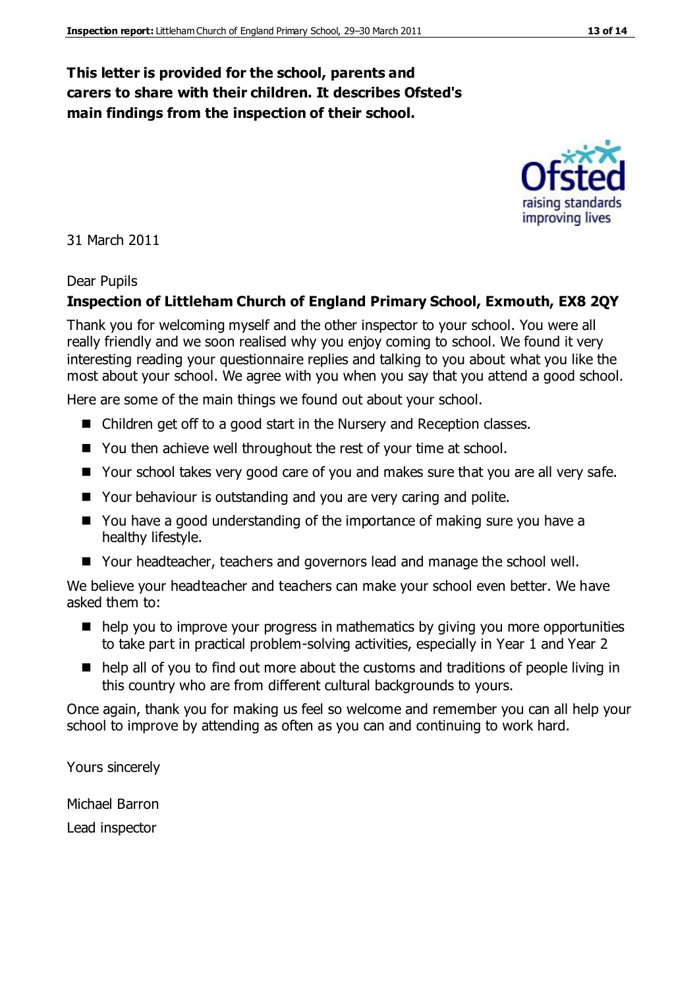### **This letter is provided for the school, parents and carers to share with their children. It describes Ofsted's main findings from the inspection of their school.**

#### 31 March 2011

#### Dear Pupils

#### **Inspection of Littleham Church of England Primary School, Exmouth, EX8 2QY**

Thank you for welcoming myself and the other inspector to your school. You were all really friendly and we soon realised why you enjoy coming to school. We found it very interesting reading your questionnaire replies and talking to you about what you like the most about your school. We agree with you when you say that you attend a good school.

Here are some of the main things we found out about your school.

- Children get off to a good start in the Nursery and Reception classes.
- You then achieve well throughout the rest of your time at school.
- Your school takes very good care of you and makes sure that you are all very safe.
- Your behaviour is outstanding and you are very caring and polite.
- You have a good understanding of the importance of making sure you have a healthy lifestyle.
- Your headteacher, teachers and governors lead and manage the school well.

We believe your headteacher and teachers can make your school even better. We have asked them to:

- $\blacksquare$  help you to improve your progress in mathematics by giving you more opportunities to take part in practical problem-solving activities, especially in Year 1 and Year 2
- $\blacksquare$  help all of you to find out more about the customs and traditions of people living in this country who are from different cultural backgrounds to yours.

Once again, thank you for making us feel so welcome and remember you can all help your school to improve by attending as often as you can and continuing to work hard.

Yours sincerely

Michael Barron Lead inspector